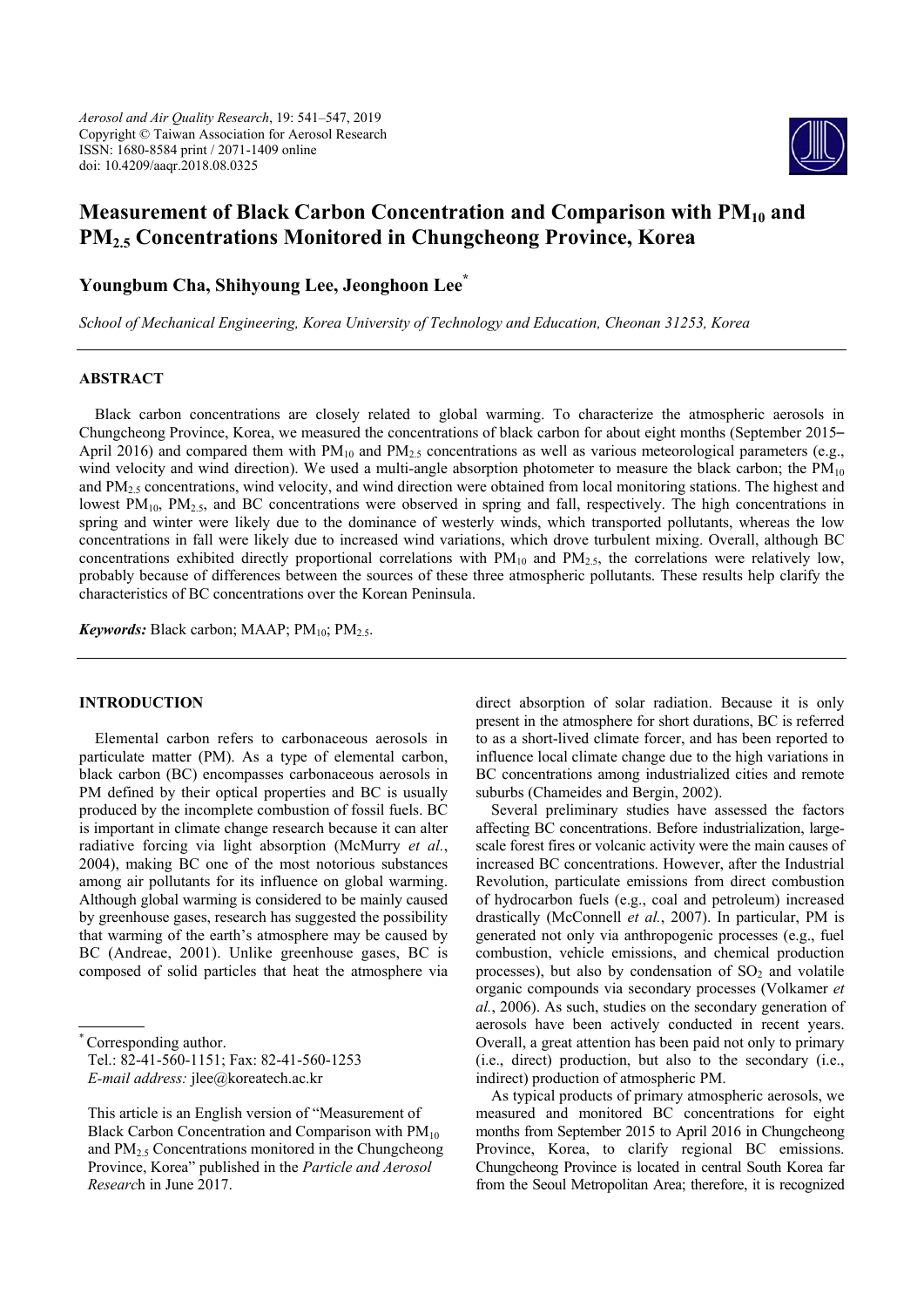*Aerosol and Air Quality Research*, 19: 541–547, 2019 Copyright © Taiwan Association for Aerosol Research ISSN: 1680-8584 print / 2071-1409 online doi: 10.4209/aaqr.2018.08.0325



# **Measurement of Black Carbon Concentration and Comparison with PM<sub>10</sub> and PM2.5 Concentrations Monitored in Chungcheong Province, Korea**

**Youngbum Cha, Shihyoung Lee, Jeonghoon Lee\***

*School of Mechanical Engineering, Korea University of Technology and Education, Cheonan 31253, Korea* 

## **ABSTRACT**

Black carbon concentrations are closely related to global warming. To characterize the atmospheric aerosols in Chungcheong Province, Korea, we measured the concentrations of black carbon for about eight months (September 2015– April 2016) and compared them with  $PM_{10}$  and  $PM_{2.5}$  concentrations as well as various meteorological parameters (e.g., wind velocity and wind direction). We used a multi-angle absorption photometer to measure the black carbon; the  $PM_{10}$ and  $PM<sub>25</sub>$  concentrations, wind velocity, and wind direction were obtained from local monitoring stations. The highest and lowest  $PM_{10}$ ,  $PM_{25}$ , and BC concentrations were observed in spring and fall, respectively. The high concentrations in spring and winter were likely due to the dominance of westerly winds, which transported pollutants, whereas the low concentrations in fall were likely due to increased wind variations, which drove turbulent mixing. Overall, although BC concentrations exhibited directly proportional correlations with  $PM_{10}$  and  $PM_{2.5}$ , the correlations were relatively low, probably because of differences between the sources of these three atmospheric pollutants. These results help clarify the characteristics of BC concentrations over the Korean Peninsula.

*Keywords:* Black carbon; MAAP;  $PM_{10}$ ;  $PM_{2.5}$ .

## **INTRODUCTION**

Elemental carbon refers to carbonaceous aerosols in particulate matter (PM). As a type of elemental carbon, black carbon (BC) encompasses carbonaceous aerosols in PM defined by their optical properties and BC is usually produced by the incomplete combustion of fossil fuels. BC is important in climate change research because it can alter radiative forcing via light absorption (McMurry *et al.*, 2004), making BC one of the most notorious substances among air pollutants for its influence on global warming. Although global warming is considered to be mainly caused by greenhouse gases, research has suggested the possibility that warming of the earth's atmosphere may be caused by BC (Andreae, 2001). Unlike greenhouse gases, BC is composed of solid particles that heat the atmosphere via

direct absorption of solar radiation. Because it is only present in the atmosphere for short durations, BC is referred to as a short-lived climate forcer, and has been reported to influence local climate change due to the high variations in BC concentrations among industrialized cities and remote suburbs (Chameides and Bergin, 2002).

Several preliminary studies have assessed the factors affecting BC concentrations. Before industrialization, largescale forest fires or volcanic activity were the main causes of increased BC concentrations. However, after the Industrial Revolution, particulate emissions from direct combustion of hydrocarbon fuels (e.g., coal and petroleum) increased drastically (McConnell *et al.*, 2007). In particular, PM is generated not only via anthropogenic processes (e.g., fuel combustion, vehicle emissions, and chemical production processes), but also by condensation of  $SO<sub>2</sub>$  and volatile organic compounds via secondary processes (Volkamer *et al.*, 2006). As such, studies on the secondary generation of aerosols have been actively conducted in recent years. Overall, a great attention has been paid not only to primary (i.e., direct) production, but also to the secondary (i.e., indirect) production of atmospheric PM.

As typical products of primary atmospheric aerosols, we measured and monitored BC concentrations for eight months from September 2015 to April 2016 in Chungcheong Province, Korea, to clarify regional BC emissions. Chungcheong Province is located in central South Korea far from the Seoul Metropolitan Area; therefore, it is recognized

Corresponding author.

Tel.: 82-41-560-1151; Fax: 82-41-560-1253 *E-mail address:* jlee@koreatech.ac.kr

This article is an English version of "Measurement of Black Carbon Concentration and Comparison with  $PM_{10}$ and  $PM<sub>2.5</sub>$  Concentrations monitored in the Chungcheong Province, Korea" published in the *Particle and Aerosol Researc*h in June 2017.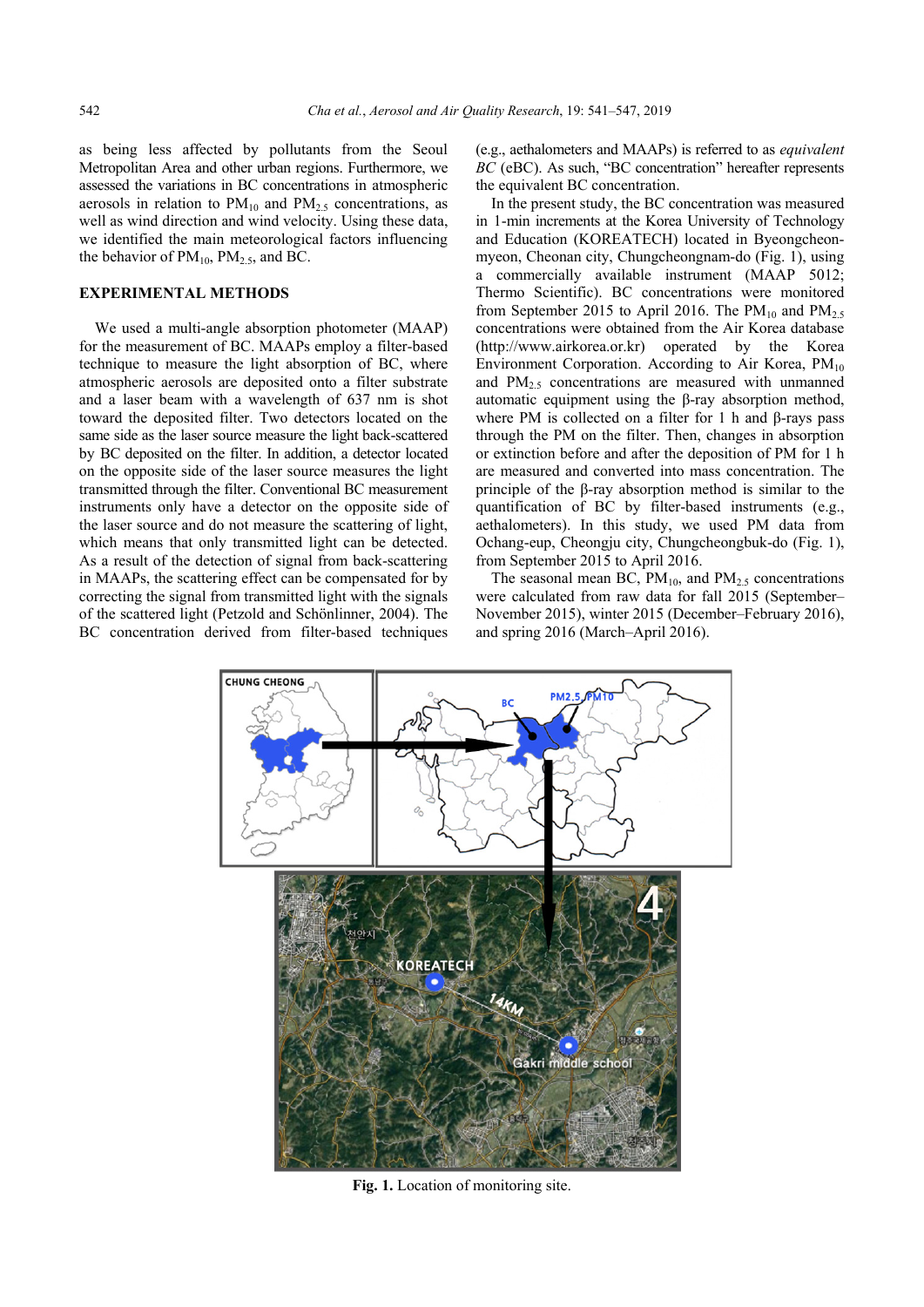as being less affected by pollutants from the Seoul Metropolitan Area and other urban regions. Furthermore, we assessed the variations in BC concentrations in atmospheric aerosols in relation to  $PM_{10}$  and  $PM_{2.5}$  concentrations, as well as wind direction and wind velocity. Using these data, we identified the main meteorological factors influencing the behavior of  $PM_{10}$ ,  $PM_{2.5}$ , and BC.

#### **EXPERIMENTAL METHODS**

We used a multi-angle absorption photometer (MAAP) for the measurement of BC. MAAPs employ a filter-based technique to measure the light absorption of BC, where atmospheric aerosols are deposited onto a filter substrate and a laser beam with a wavelength of 637 nm is shot toward the deposited filter. Two detectors located on the same side as the laser source measure the light back-scattered by BC deposited on the filter. In addition, a detector located on the opposite side of the laser source measures the light transmitted through the filter. Conventional BC measurement instruments only have a detector on the opposite side of the laser source and do not measure the scattering of light, which means that only transmitted light can be detected. As a result of the detection of signal from back-scattering in MAAPs, the scattering effect can be compensated for by correcting the signal from transmitted light with the signals of the scattered light (Petzold and Schönlinner, 2004). The BC concentration derived from filter-based techniques (e.g., aethalometers and MAAPs) is referred to as *equivalent BC* (eBC). As such, "BC concentration" hereafter represents the equivalent BC concentration.

In the present study, the BC concentration was measured in 1-min increments at the Korea University of Technology and Education (KOREATECH) located in Byeongcheonmyeon, Cheonan city, Chungcheongnam-do (Fig. 1), using a commercially available instrument (MAAP 5012; Thermo Scientific). BC concentrations were monitored from September 2015 to April 2016. The  $PM_{10}$  and  $PM_{2.5}$ concentrations were obtained from the Air Korea database (http://www.airkorea.or.kr) operated by the Korea Environment Corporation. According to Air Korea,  $PM_{10}$ and  $PM_{2.5}$  concentrations are measured with unmanned automatic equipment using the β-ray absorption method, where PM is collected on a filter for 1 h and β-rays pass through the PM on the filter. Then, changes in absorption or extinction before and after the deposition of PM for 1 h are measured and converted into mass concentration. The principle of the β-ray absorption method is similar to the quantification of BC by filter-based instruments (e.g., aethalometers). In this study, we used PM data from Ochang-eup, Cheongju city, Chungcheongbuk-do (Fig. 1), from September 2015 to April 2016.

The seasonal mean BC,  $PM_{10}$ , and  $PM_{2.5}$  concentrations were calculated from raw data for fall 2015 (September– November 2015), winter 2015 (December–February 2016), and spring 2016 (March–April 2016).



**Fig. 1.** Location of monitoring site.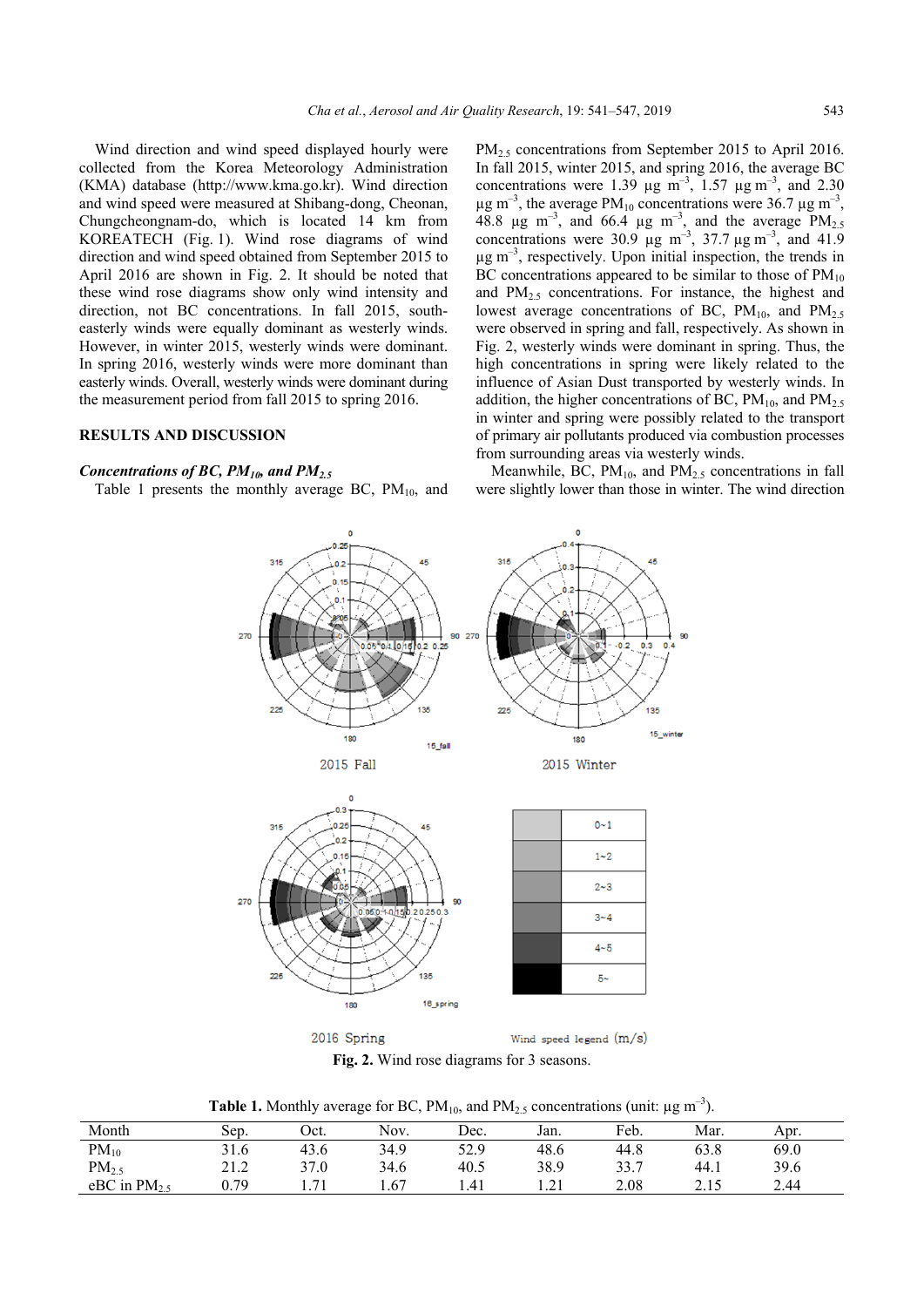Wind direction and wind speed displayed hourly were collected from the Korea Meteorology Administration (KMA) database (http://www.kma.go.kr). Wind direction and wind speed were measured at Shibang-dong, Cheonan, Chungcheongnam-do, which is located 14 km from KOREATECH (Fig. 1). Wind rose diagrams of wind direction and wind speed obtained from September 2015 to April 2016 are shown in Fig. 2. It should be noted that these wind rose diagrams show only wind intensity and direction, not BC concentrations. In fall 2015, southeasterly winds were equally dominant as westerly winds. However, in winter 2015, westerly winds were dominant. In spring 2016, westerly winds were more dominant than easterly winds. Overall, westerly winds were dominant during the measurement period from fall 2015 to spring 2016.

## **RESULTS AND DISCUSSION**

### *Concentrations of BC, PM10, and PM2.5*

Table 1 presents the monthly average BC,  $PM_{10}$ , and

PM<sub>2.5</sub> concentrations from September 2015 to April 2016. In fall 2015, winter 2015, and spring 2016, the average BC concentrations were 1.39  $\mu$ g m<sup>-3</sup>, 1.57  $\mu$ g m<sup>-3</sup>, and 2.30  $\mu$ g m<sup>-3</sup>, the average PM<sub>10</sub> concentrations were 36.7  $\mu$ g m<sup>-3</sup>, 48.8  $\mu$ g m<sup>-3</sup>, and 66.4  $\mu$ g m<sup>-3</sup>, and the average PM<sub>2.5</sub> concentrations were 30.9  $\mu$ g m<sup>-3</sup>, 37.7  $\mu$ g m<sup>-3</sup>, and 41.9  $\mu$ g m<sup>-3</sup>, respectively. Upon initial inspection, the trends in BC concentrations appeared to be similar to those of  $PM_{10}$ and PM2.5 concentrations. For instance, the highest and lowest average concentrations of BC,  $PM_{10}$ , and  $PM_{2.5}$ were observed in spring and fall, respectively. As shown in Fig. 2, westerly winds were dominant in spring. Thus, the high concentrations in spring were likely related to the influence of Asian Dust transported by westerly winds. In addition, the higher concentrations of BC,  $PM_{10}$ , and  $PM_{2.5}$ in winter and spring were possibly related to the transport of primary air pollutants produced via combustion processes from surrounding areas via westerly winds.

Meanwhile, BC,  $PM_{10}$ , and  $PM_{2.5}$  concentrations in fall were slightly lower than those in winter. The wind direction



2016 Spring Wind speed legend (m/s)

**Fig. 2.** Wind rose diagrams for 3 seasons.

**Table 1.** Monthly average for BC,  $PM_{10}$ , and  $PM_{2.5}$  concentrations (unit:  $\mu$ g m<sup>-3</sup>).

| Month             | Sep.                                   | Oct. | Nov. | Dec. | Jan.                | Feb. | Mar. | Apr. |
|-------------------|----------------------------------------|------|------|------|---------------------|------|------|------|
| $PM_{10}$         | 21<br>31.6                             | 43.6 | 34.9 | 52.9 | 48.6                | 44.8 | 63.8 | 69.0 |
| PM <sub>2.5</sub> | 212<br>$\overline{a}$ . $\overline{a}$ | 37.0 | 34.6 | 40.5 | 38.9                | 33.7 | 44.1 | 39.6 |
| eBC in $PM_2$     | 0.79                                   | $-1$ | 1.67 | 1.41 | $\bigcap$ 1<br>1.41 | 2.08 | 2.15 | 2.44 |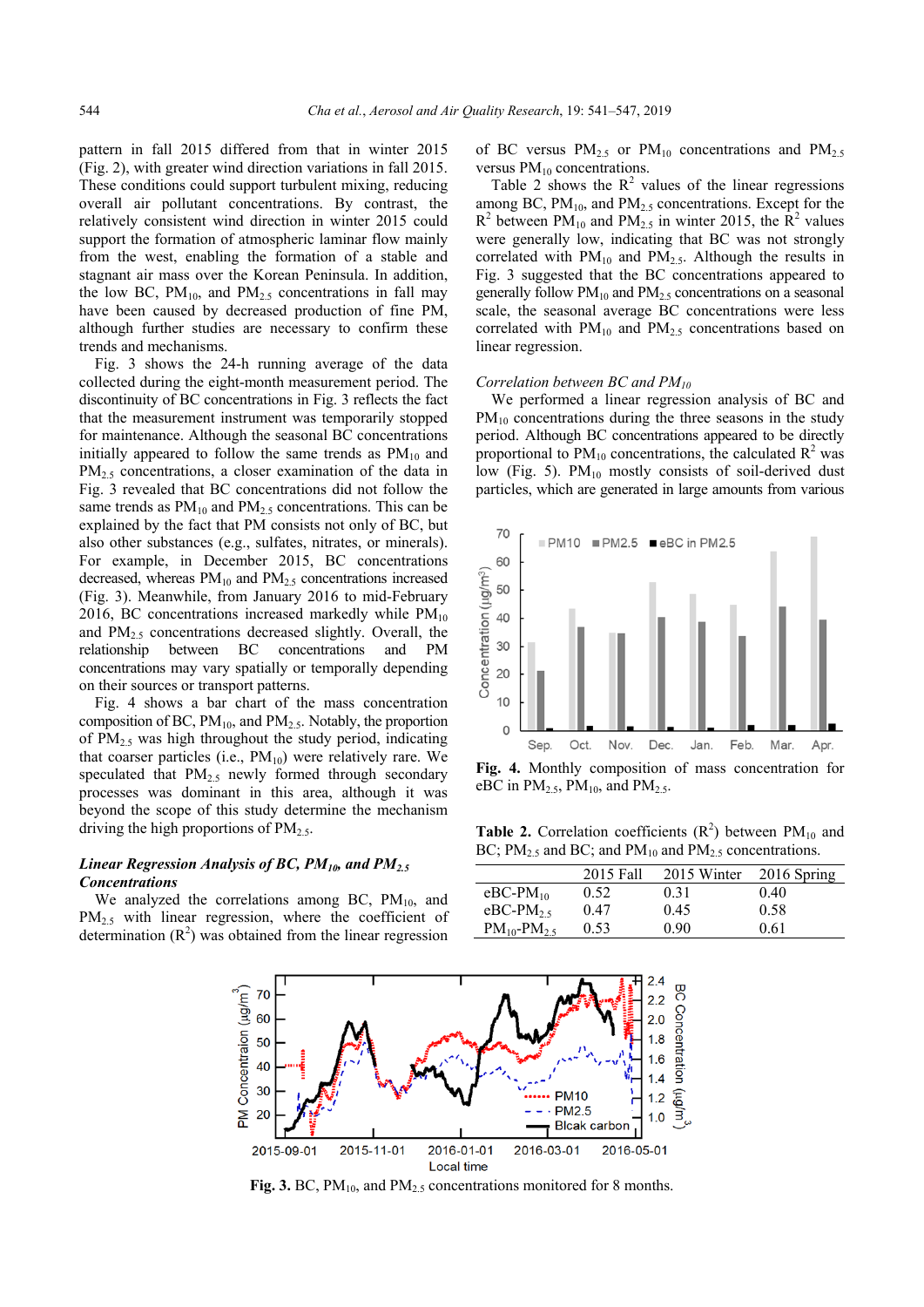pattern in fall 2015 differed from that in winter 2015 (Fig. 2), with greater wind direction variations in fall 2015. These conditions could support turbulent mixing, reducing overall air pollutant concentrations. By contrast, the relatively consistent wind direction in winter 2015 could support the formation of atmospheric laminar flow mainly from the west, enabling the formation of a stable and stagnant air mass over the Korean Peninsula. In addition, the low BC,  $PM_{10}$ , and  $PM_{2.5}$  concentrations in fall may have been caused by decreased production of fine PM, although further studies are necessary to confirm these trends and mechanisms.

Fig. 3 shows the 24-h running average of the data collected during the eight-month measurement period. The discontinuity of BC concentrations in Fig. 3 reflects the fact that the measurement instrument was temporarily stopped for maintenance. Although the seasonal BC concentrations initially appeared to follow the same trends as  $PM_{10}$  and PM<sub>2.5</sub> concentrations, a closer examination of the data in Fig. 3 revealed that BC concentrations did not follow the same trends as  $PM_{10}$  and  $PM_{2.5}$  concentrations. This can be explained by the fact that PM consists not only of BC, but also other substances (e.g., sulfates, nitrates, or minerals). For example, in December 2015, BC concentrations decreased, whereas  $PM_{10}$  and  $PM_{2.5}$  concentrations increased (Fig. 3). Meanwhile, from January 2016 to mid-February 2016, BC concentrations increased markedly while  $PM_{10}$ and  $PM_{2.5}$  concentrations decreased slightly. Overall, the relationship between BC concentrations and PM concentrations may vary spatially or temporally depending on their sources or transport patterns.

Fig. 4 shows a bar chart of the mass concentration composition of BC,  $PM_{10}$ , and  $PM_{2.5}$ . Notably, the proportion of  $PM<sub>2.5</sub>$  was high throughout the study period, indicating that coarser particles (i.e.,  $PM_{10}$ ) were relatively rare. We speculated that  $PM_2$ , newly formed through secondary processes was dominant in this area, although it was beyond the scope of this study determine the mechanism driving the high proportions of  $PM_{2.5}$ .

## *Linear Regression Analysis of BC, PM10, and PM2.5 Concentrations*

We analyzed the correlations among BC,  $PM_{10}$ , and  $PM_{2.5}$  with linear regression, where the coefficient of determination  $(R<sup>2</sup>)$  was obtained from the linear regression of BC versus  $PM_{2.5}$  or  $PM_{10}$  concentrations and  $PM_{2.5}$ versus  $PM_{10}$  concentrations.

Table 2 shows the  $R^2$  values of the linear regressions among BC,  $PM_{10}$ , and  $PM_{2.5}$  concentrations. Except for the  $R^2$  between PM<sub>10</sub> and PM<sub>2.5</sub> in winter 2015, the  $\bar{R}^2$  values were generally low, indicating that BC was not strongly correlated with  $PM_{10}$  and  $PM_{2.5}$ . Although the results in Fig. 3 suggested that the BC concentrations appeared to generally follow  $PM_{10}$  and  $PM_{2.5}$  concentrations on a seasonal scale, the seasonal average BC concentrations were less correlated with  $PM_{10}$  and  $PM_{2.5}$  concentrations based on linear regression.

#### *Correlation between BC and PM10*

We performed a linear regression analysis of BC and  $PM_{10}$  concentrations during the three seasons in the study period. Although BC concentrations appeared to be directly proportional to  $PM_{10}$  concentrations, the calculated  $R^2$  was low (Fig. 5).  $PM_{10}$  mostly consists of soil-derived dust particles, which are generated in large amounts from various



**Fig. 4.** Monthly composition of mass concentration for eBC in  $PM<sub>2.5</sub>$ ,  $PM<sub>10</sub>$ , and  $PM<sub>2.5</sub>$ .

**Table 2.** Correlation coefficients  $(R^2)$  between  $PM_{10}$  and BC;  $PM_{2.5}$  and BC; and  $PM_{10}$  and  $PM_{2.5}$  concentrations.

|                              | 2015 Fall | 2015 Winter | 2016 Spring |
|------------------------------|-----------|-------------|-------------|
| $eBC-PM_{10}$                | 0.52      | 0.31        | 0.40        |
| $eBC-PM25$                   | 0.47      | 0.45        | 0.58        |
| $PM_{10}$ -PM <sub>2.5</sub> | 0.53      | 0.90        | 0.61        |



Fig. 3. BC, PM<sub>10</sub>, and PM<sub>2.5</sub> concentrations monitored for 8 months.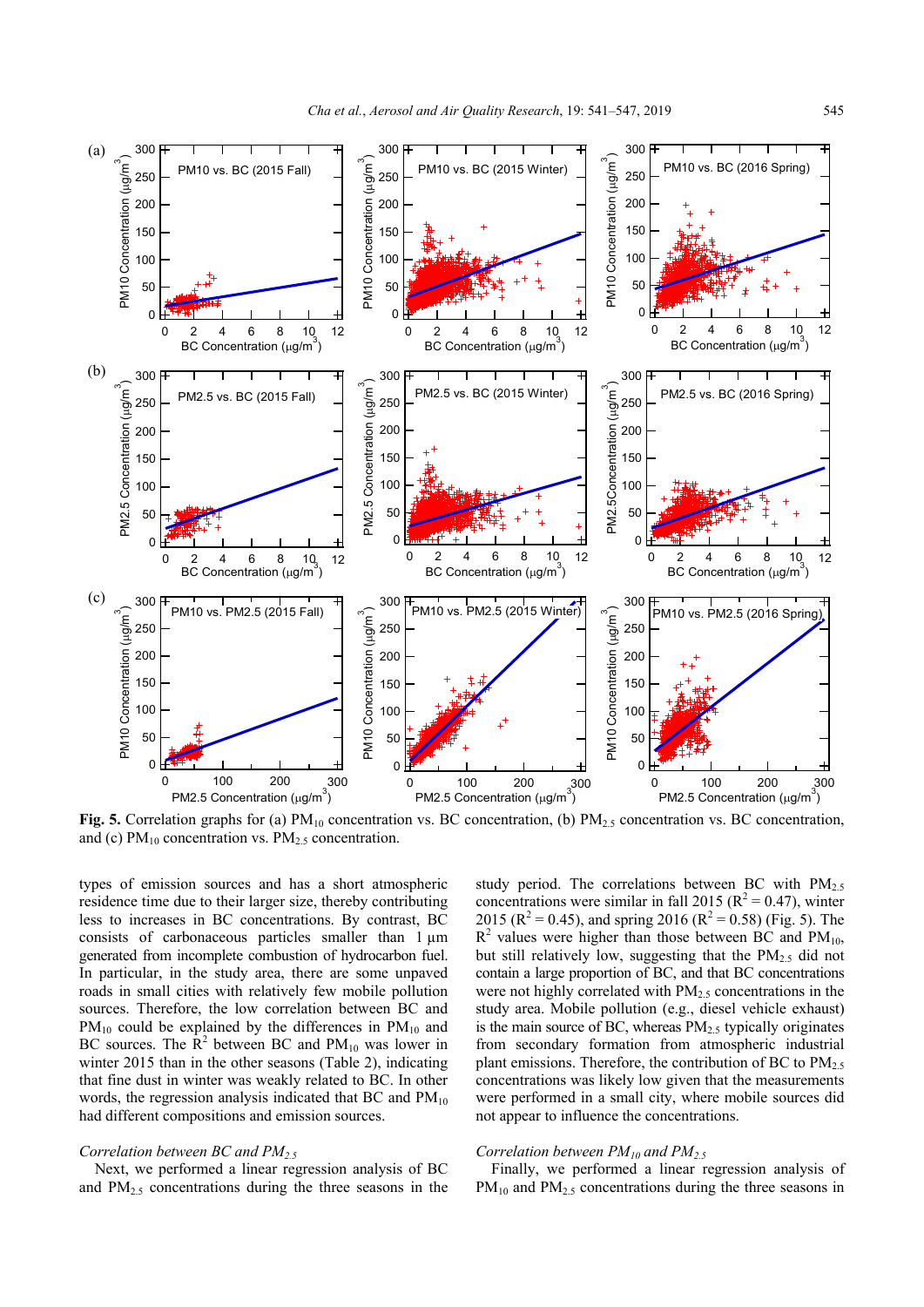

**Fig. 5.** Correlation graphs for (a)  $PM_{10}$  concentration vs. BC concentration, (b)  $PM_{2.5}$  concentration vs. BC concentration, and (c)  $PM_{10}$  concentration vs.  $PM_{2.5}$  concentration.

types of emission sources and has a short atmospheric residence time due to their larger size, thereby contributing less to increases in BC concentrations. By contrast, BC consists of carbonaceous particles smaller than 1  $\mu$ m generated from incomplete combustion of hydrocarbon fuel. In particular, in the study area, there are some unpaved roads in small cities with relatively few mobile pollution sources. Therefore, the low correlation between BC and  $PM_{10}$  could be explained by the differences in  $PM_{10}$  and BC sources. The  $\mathbb{R}^2$  between BC and PM<sub>10</sub> was lower in winter 2015 than in the other seasons (Table 2), indicating that fine dust in winter was weakly related to BC. In other words, the regression analysis indicated that BC and  $PM_{10}$ had different compositions and emission sources.

## *Correlation between BC and PM2.5*

Next, we performed a linear regression analysis of BC and  $PM<sub>2.5</sub>$  concentrations during the three seasons in the study period. The correlations between BC with  $PM<sub>2.5</sub>$ concentrations were similar in fall 2015 ( $R^2 = 0.47$ ), winter 2015 ( $\mathbb{R}^2 = 0.45$ ), and spring 2016 ( $\mathbb{R}^2 = 0.58$ ) (Fig. 5). The  $R<sup>2</sup>$  values were higher than those between BC and PM<sub>10</sub>, but still relatively low, suggesting that the  $PM_{2.5}$  did not contain a large proportion of BC, and that BC concentrations were not highly correlated with  $PM<sub>2.5</sub>$  concentrations in the study area. Mobile pollution (e.g., diesel vehicle exhaust) is the main source of BC, whereas  $PM_{2.5}$  typically originates from secondary formation from atmospheric industrial plant emissions. Therefore, the contribution of BC to  $PM<sub>2.5</sub>$ concentrations was likely low given that the measurements were performed in a small city, where mobile sources did not appear to influence the concentrations.

## *Correlation between PM10 and PM2.5*

Finally, we performed a linear regression analysis of  $PM_{10}$  and  $PM_{2.5}$  concentrations during the three seasons in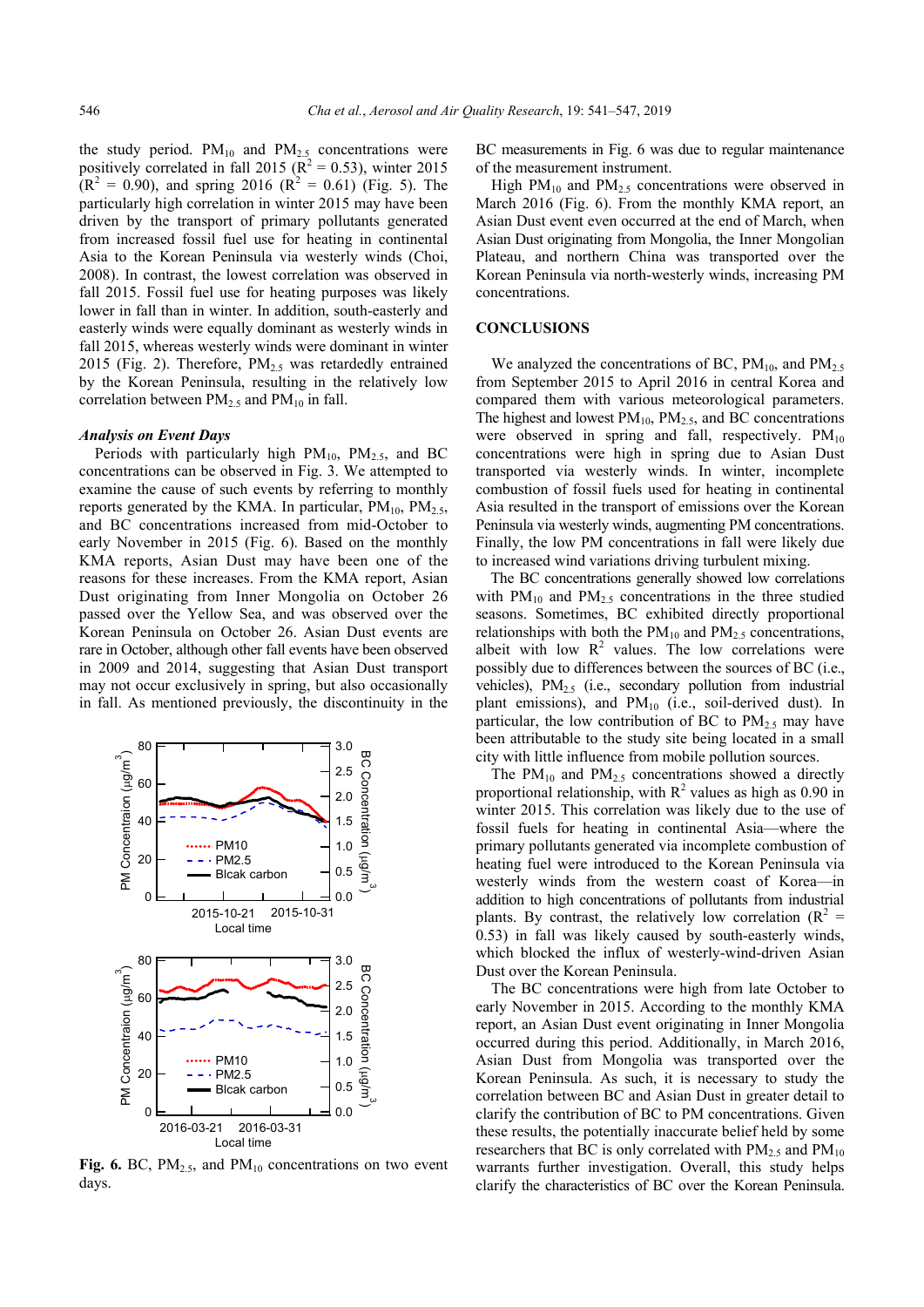the study period.  $PM_{10}$  and  $PM_{2.5}$  concentrations were positively correlated in fall 2015 ( $\mathbb{R}^2 = 0.53$ ), winter 2015  $(R^2 = 0.90)$ , and spring 2016  $(R^2 = 0.61)$  (Fig. 5). The particularly high correlation in winter 2015 may have been driven by the transport of primary pollutants generated from increased fossil fuel use for heating in continental Asia to the Korean Peninsula via westerly winds (Choi, 2008). In contrast, the lowest correlation was observed in fall 2015. Fossil fuel use for heating purposes was likely lower in fall than in winter. In addition, south-easterly and easterly winds were equally dominant as westerly winds in fall 2015, whereas westerly winds were dominant in winter 2015 (Fig. 2). Therefore,  $PM<sub>2.5</sub>$  was retardedly entrained by the Korean Peninsula, resulting in the relatively low correlation between  $PM_{2.5}$  and  $PM_{10}$  in fall.

#### *Analysis on Event Days*

Periods with particularly high  $PM_{10}$ ,  $PM_{2.5}$ , and BC concentrations can be observed in Fig. 3. We attempted to examine the cause of such events by referring to monthly reports generated by the KMA. In particular,  $PM_{10}$ ,  $PM_{2.5}$ , and BC concentrations increased from mid-October to early November in 2015 (Fig. 6). Based on the monthly KMA reports, Asian Dust may have been one of the reasons for these increases. From the KMA report, Asian Dust originating from Inner Mongolia on October 26 passed over the Yellow Sea, and was observed over the Korean Peninsula on October 26. Asian Dust events are rare in October, although other fall events have been observed in 2009 and 2014, suggesting that Asian Dust transport may not occur exclusively in spring, but also occasionally in fall. As mentioned previously, the discontinuity in the



**Fig. 6.** BC,  $PM_{2.5}$ , and  $PM_{10}$  concentrations on two event days.

BC measurements in Fig. 6 was due to regular maintenance of the measurement instrument.

High  $PM_{10}$  and  $PM_{2.5}$  concentrations were observed in March 2016 (Fig. 6). From the monthly KMA report, an Asian Dust event even occurred at the end of March, when Asian Dust originating from Mongolia, the Inner Mongolian Plateau, and northern China was transported over the Korean Peninsula via north-westerly winds, increasing PM concentrations.

#### **CONCLUSIONS**

We analyzed the concentrations of BC,  $PM_{10}$ , and  $PM_{2.5}$ from September 2015 to April 2016 in central Korea and compared them with various meteorological parameters. The highest and lowest  $PM_{10}$ ,  $PM_{2.5}$ , and BC concentrations were observed in spring and fall, respectively.  $PM_{10}$ concentrations were high in spring due to Asian Dust transported via westerly winds. In winter, incomplete combustion of fossil fuels used for heating in continental Asia resulted in the transport of emissions over the Korean Peninsula via westerly winds, augmenting PM concentrations. Finally, the low PM concentrations in fall were likely due to increased wind variations driving turbulent mixing.

The BC concentrations generally showed low correlations with  $PM_{10}$  and  $PM_{2.5}$  concentrations in the three studied seasons. Sometimes, BC exhibited directly proportional relationships with both the  $PM_{10}$  and  $PM_{2.5}$  concentrations, albeit with low  $R^2$  values. The low correlations were possibly due to differences between the sources of BC (i.e., vehicles),  $PM_{2.5}$  (i.e., secondary pollution from industrial plant emissions), and  $PM_{10}$  (i.e., soil-derived dust). In particular, the low contribution of BC to  $PM<sub>2.5</sub>$  may have been attributable to the study site being located in a small city with little influence from mobile pollution sources.

The PM<sub>10</sub> and PM<sub>2.5</sub> concentrations showed a directly proportional relationship, with  $R^2$  values as high as 0.90 in winter 2015. This correlation was likely due to the use of fossil fuels for heating in continental Asia—where the primary pollutants generated via incomplete combustion of heating fuel were introduced to the Korean Peninsula via westerly winds from the western coast of Korea—in addition to high concentrations of pollutants from industrial plants. By contrast, the relatively low correlation ( $R^2$  = 0.53) in fall was likely caused by south-easterly winds, which blocked the influx of westerly-wind-driven Asian Dust over the Korean Peninsula.

The BC concentrations were high from late October to early November in 2015. According to the monthly KMA report, an Asian Dust event originating in Inner Mongolia occurred during this period. Additionally, in March 2016, Asian Dust from Mongolia was transported over the Korean Peninsula. As such, it is necessary to study the correlation between BC and Asian Dust in greater detail to clarify the contribution of BC to PM concentrations. Given these results, the potentially inaccurate belief held by some researchers that BC is only correlated with  $PM_{2.5}$  and  $PM_{10}$ warrants further investigation. Overall, this study helps clarify the characteristics of BC over the Korean Peninsula.